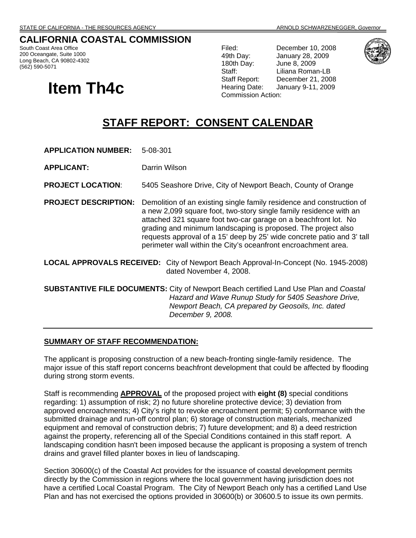# **CALIFORNIA COASTAL COMMISSION**

South Coast Area Office 200 Oceangate, Suite 1000 Long Beach, CA 90802-4302 (562) 590-5071

# **Item Th4c** Hearing Date: Ja

Filed: December 10, 2008 49th Day: January 28, 2009 180th Day: June 8, 2009 Staff: Liliana Roman-LB Staff Report: December 21, 2008 Hearing Date: January 9-11, 2009



# **STAFF REPORT: CONSENT CALENDAR**

**APPLICATION NUMBER:** 5-08-301

**APPLICANT:** Darrin Wilson

**PROJECT LOCATION**: 5405 Seashore Drive, City of Newport Beach, County of Orange

- **PROJECT DESCRIPTION:** Demolition of an existing single family residence and construction of a new 2,099 square foot, two-story single family residence with an attached 321 square foot two-car garage on a beachfront lot. No grading and minimum landscaping is proposed. The project also requests approval of a 15' deep by 25' wide concrete patio and 3' tall perimeter wall within the City's oceanfront encroachment area.
- **LOCAL APPROVALS RECEIVED:** City of Newport Beach Approval-In-Concept (No. 1945-2008) dated November 4, 2008.

**SUBSTANTIVE FILE DOCUMENTS:** City of Newport Beach certified Land Use Plan and *Coastal Hazard and Wave Runup Study for 5405 Seashore Drive, Newport Beach, CA prepared by Geosoils, Inc. dated December 9, 2008.* 

#### **SUMMARY OF STAFF RECOMMENDATION:**

The applicant is proposing construction of a new beach-fronting single-family residence. The major issue of this staff report concerns beachfront development that could be affected by flooding during strong storm events.

Staff is recommending **APPROVAL** of the proposed project with **eight (8)** special conditions regarding: 1) assumption of risk; 2) no future shoreline protective device; 3) deviation from approved encroachments; 4) City's right to revoke encroachment permit; 5) conformance with the submitted drainage and run-off control plan; 6) storage of construction materials, mechanized equipment and removal of construction debris; 7) future development; and 8) a deed restriction against the property, referencing all of the Special Conditions contained in this staff report. A landscaping condition hasn't been imposed because the applicant is proposing a system of trench drains and gravel filled planter boxes in lieu of landscaping.

Section 30600(c) of the Coastal Act provides for the issuance of coastal development permits directly by the Commission in regions where the local government having jurisdiction does not have a certified Local Coastal Program. The City of Newport Beach only has a certified Land Use Plan and has not exercised the options provided in 30600(b) or 30600.5 to issue its own permits.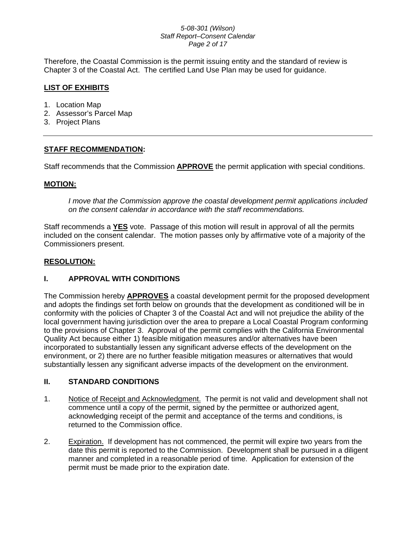#### *5-08-301 (Wilson) Staff Report–Consent Calendar Page 2 of 17*

Therefore, the Coastal Commission is the permit issuing entity and the standard of review is Chapter 3 of the Coastal Act. The certified Land Use Plan may be used for guidance.

# **LIST OF EXHIBITS**

- 1. Location Map
- 2. Assessor's Parcel Map
- 3. Project Plans

# **STAFF RECOMMENDATION:**

Staff recommends that the Commission **APPROVE** the permit application with special conditions.

#### **MOTION:**

*I move that the Commission approve the coastal development permit applications included on the consent calendar in accordance with the staff recommendations.*

Staff recommends a **YES** vote. Passage of this motion will result in approval of all the permits included on the consent calendar. The motion passes only by affirmative vote of a majority of the Commissioners present.

#### **RESOLUTION:**

# **I. APPROVAL WITH CONDITIONS**

The Commission hereby **APPROVES** a coastal development permit for the proposed development and adopts the findings set forth below on grounds that the development as conditioned will be in conformity with the policies of Chapter 3 of the Coastal Act and will not prejudice the ability of the local government having jurisdiction over the area to prepare a Local Coastal Program conforming to the provisions of Chapter 3. Approval of the permit complies with the California Environmental Quality Act because either 1) feasible mitigation measures and/or alternatives have been incorporated to substantially lessen any significant adverse effects of the development on the environment, or 2) there are no further feasible mitigation measures or alternatives that would substantially lessen any significant adverse impacts of the development on the environment.

# **II. STANDARD CONDITIONS**

- 1. Notice of Receipt and Acknowledgment. The permit is not valid and development shall not commence until a copy of the permit, signed by the permittee or authorized agent, acknowledging receipt of the permit and acceptance of the terms and conditions, is returned to the Commission office.
- 2. Expiration. If development has not commenced, the permit will expire two years from the date this permit is reported to the Commission. Development shall be pursued in a diligent manner and completed in a reasonable period of time. Application for extension of the permit must be made prior to the expiration date.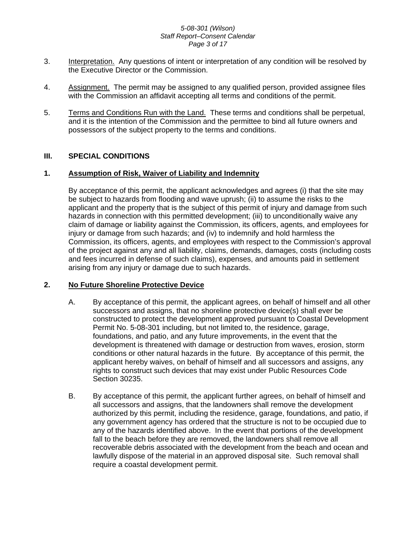#### *5-08-301 (Wilson) Staff Report–Consent Calendar Page 3 of 17*

- 3. Interpretation. Any questions of intent or interpretation of any condition will be resolved by the Executive Director or the Commission.
- 4. Assignment. The permit may be assigned to any qualified person, provided assignee files with the Commission an affidavit accepting all terms and conditions of the permit.
- 5. Terms and Conditions Run with the Land. These terms and conditions shall be perpetual, and it is the intention of the Commission and the permittee to bind all future owners and possessors of the subject property to the terms and conditions.

# **III. SPECIAL CONDITIONS**

# **1. Assumption of Risk, Waiver of Liability and Indemnity**

By acceptance of this permit, the applicant acknowledges and agrees (i) that the site may be subject to hazards from flooding and wave uprush; (ii) to assume the risks to the applicant and the property that is the subject of this permit of injury and damage from such hazards in connection with this permitted development; (iii) to unconditionally waive any claim of damage or liability against the Commission, its officers, agents, and employees for injury or damage from such hazards; and (iv) to indemnify and hold harmless the Commission, its officers, agents, and employees with respect to the Commission's approval of the project against any and all liability, claims, demands, damages, costs (including costs and fees incurred in defense of such claims), expenses, and amounts paid in settlement arising from any injury or damage due to such hazards.

# **2. No Future Shoreline Protective Device**

- A. By acceptance of this permit, the applicant agrees, on behalf of himself and all other successors and assigns, that no shoreline protective device(s) shall ever be constructed to protect the development approved pursuant to Coastal Development Permit No. 5-08-301 including, but not limited to, the residence, garage, foundations, and patio, and any future improvements, in the event that the development is threatened with damage or destruction from waves, erosion, storm conditions or other natural hazards in the future. By acceptance of this permit, the applicant hereby waives, on behalf of himself and all successors and assigns, any rights to construct such devices that may exist under Public Resources Code Section 30235.
- B. By acceptance of this permit, the applicant further agrees, on behalf of himself and all successors and assigns, that the landowners shall remove the development authorized by this permit, including the residence, garage, foundations, and patio, if any government agency has ordered that the structure is not to be occupied due to any of the hazards identified above. In the event that portions of the development fall to the beach before they are removed, the landowners shall remove all recoverable debris associated with the development from the beach and ocean and lawfully dispose of the material in an approved disposal site. Such removal shall require a coastal development permit.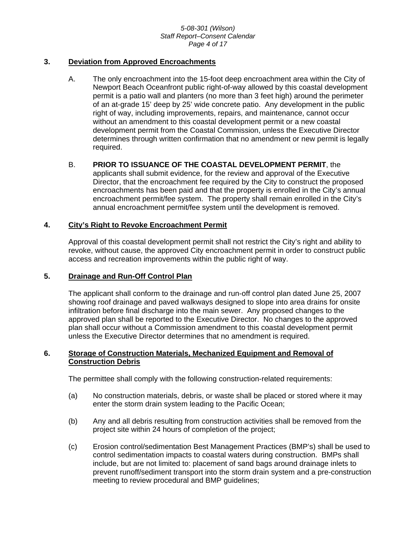#### *5-08-301 (Wilson) Staff Report–Consent Calendar Page 4 of 17*

#### **3. Deviation from Approved Encroachments**

A. The only encroachment into the 15-foot deep encroachment area within the City of Newport Beach Oceanfront public right-of-way allowed by this coastal development permit is a patio wall and planters (no more than 3 feet high) around the perimeter of an at-grade 15' deep by 25' wide concrete patio. Any development in the public right of way, including improvements, repairs, and maintenance, cannot occur without an amendment to this coastal development permit or a new coastal development permit from the Coastal Commission, unless the Executive Director determines through written confirmation that no amendment or new permit is legally required.

#### B. **PRIOR TO ISSUANCE OF THE COASTAL DEVELOPMENT PERMIT**, the applicants shall submit evidence, for the review and approval of the Executive Director, that the encroachment fee required by the City to construct the proposed encroachments has been paid and that the property is enrolled in the City's annual encroachment permit/fee system. The property shall remain enrolled in the City's annual encroachment permit/fee system until the development is removed.

#### **4. City's Right to Revoke Encroachment Permit**

Approval of this coastal development permit shall not restrict the City's right and ability to revoke, without cause, the approved City encroachment permit in order to construct public access and recreation improvements within the public right of way.

#### **5. Drainage and Run-Off Control Plan**

The applicant shall conform to the drainage and run-off control plan dated June 25, 2007 showing roof drainage and paved walkways designed to slope into area drains for onsite infiltration before final discharge into the main sewer. Any proposed changes to the approved plan shall be reported to the Executive Director. No changes to the approved plan shall occur without a Commission amendment to this coastal development permit unless the Executive Director determines that no amendment is required.

#### **6. Storage of Construction Materials, Mechanized Equipment and Removal of Construction Debris**

The permittee shall comply with the following construction-related requirements:

- (a) No construction materials, debris, or waste shall be placed or stored where it may enter the storm drain system leading to the Pacific Ocean;
- (b) Any and all debris resulting from construction activities shall be removed from the project site within 24 hours of completion of the project;
- (c) Erosion control/sedimentation Best Management Practices (BMP's) shall be used to control sedimentation impacts to coastal waters during construction. BMPs shall include, but are not limited to: placement of sand bags around drainage inlets to prevent runoff/sediment transport into the storm drain system and a pre-construction meeting to review procedural and BMP guidelines;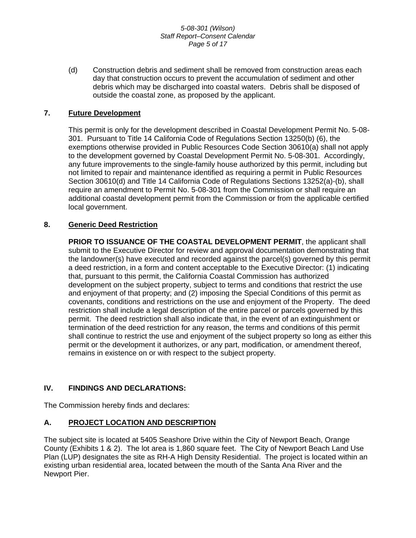#### *5-08-301 (Wilson) Staff Report–Consent Calendar Page 5 of 17*

(d) Construction debris and sediment shall be removed from construction areas each day that construction occurs to prevent the accumulation of sediment and other debris which may be discharged into coastal waters. Debris shall be disposed of outside the coastal zone, as proposed by the applicant.

#### **7. Future Development**

This permit is only for the development described in Coastal Development Permit No. 5-08- 301. Pursuant to Title 14 California Code of Regulations Section 13250(b) (6), the exemptions otherwise provided in Public Resources Code Section 30610(a) shall not apply to the development governed by Coastal Development Permit No. 5-08-301. Accordingly, any future improvements to the single-family house authorized by this permit, including but not limited to repair and maintenance identified as requiring a permit in Public Resources Section 30610(d) and Title 14 California Code of Regulations Sections 13252(a)-(b), shall require an amendment to Permit No. 5-08-301 from the Commission or shall require an additional coastal development permit from the Commission or from the applicable certified local government.

#### **8. Generic Deed Restriction**

**PRIOR TO ISSUANCE OF THE COASTAL DEVELOPMENT PERMIT**, the applicant shall submit to the Executive Director for review and approval documentation demonstrating that the landowner(s) have executed and recorded against the parcel(s) governed by this permit a deed restriction, in a form and content acceptable to the Executive Director: (1) indicating that, pursuant to this permit, the California Coastal Commission has authorized development on the subject property, subject to terms and conditions that restrict the use and enjoyment of that property; and (2) imposing the Special Conditions of this permit as covenants, conditions and restrictions on the use and enjoyment of the Property. The deed restriction shall include a legal description of the entire parcel or parcels governed by this permit. The deed restriction shall also indicate that, in the event of an extinguishment or termination of the deed restriction for any reason, the terms and conditions of this permit shall continue to restrict the use and enjoyment of the subject property so long as either this permit or the development it authorizes, or any part, modification, or amendment thereof, remains in existence on or with respect to the subject property.

# **IV. FINDINGS AND DECLARATIONS:**

The Commission hereby finds and declares:

# **A. PROJECT LOCATION AND DESCRIPTION**

The subject site is located at 5405 Seashore Drive within the City of Newport Beach, Orange County (Exhibits 1 & 2). The lot area is 1,860 square feet. The City of Newport Beach Land Use Plan (LUP) designates the site as RH-A High Density Residential. The project is located within an existing urban residential area, located between the mouth of the Santa Ana River and the Newport Pier.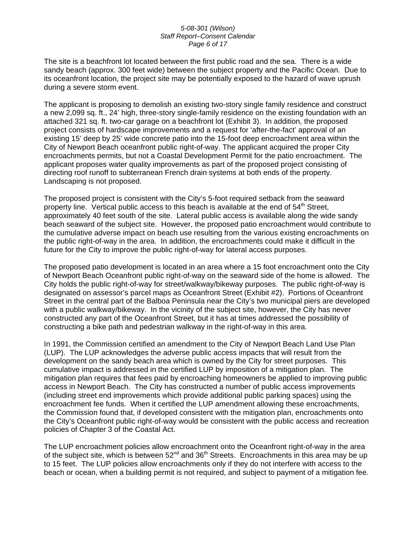#### *5-08-301 (Wilson) Staff Report–Consent Calendar Page 6 of 17*

The site is a beachfront lot located between the first public road and the sea. There is a wide sandy beach (approx. 300 feet wide) between the subject property and the Pacific Ocean. Due to its oceanfront location, the project site may be potentially exposed to the hazard of wave uprush during a severe storm event.

The applicant is proposing to demolish an existing two-story single family residence and construct a new 2,099 sq. ft., 24' high, three-story single-family residence on the existing foundation with an attached 321 sq. ft. two-car garage on a beachfront lot (Exhibit 3). In addition, the proposed project consists of hardscape improvements and a request for 'after-the-fact' approval of an existing 15' deep by 25' wide concrete patio into the 15-foot deep encroachment area within the City of Newport Beach oceanfront public right-of-way. The applicant acquired the proper City encroachments permits, but not a Coastal Development Permit for the patio encroachment. The applicant proposes water quality improvements as part of the proposed project consisting of directing roof runoff to subterranean French drain systems at both ends of the property. Landscaping is not proposed.

The proposed project is consistent with the City's 5-foot required setback from the seaward property line. Vertical public access to this beach is available at the end of  $54<sup>th</sup>$  Street, approximately 40 feet south of the site. Lateral public access is available along the wide sandy beach seaward of the subject site. However, the proposed patio encroachment would contribute to the cumulative adverse impact on beach use resulting from the various existing encroachments on the public right-of-way in the area. In addition, the encroachments could make it difficult in the future for the City to improve the public right-of-way for lateral access purposes.

The proposed patio development is located in an area where a 15 foot encroachment onto the City of Newport Beach Oceanfront public right-of-way on the seaward side of the home is allowed. The City holds the public right-of-way for street/walkway/bikeway purposes. The public right-of-way is designated on assessor's parcel maps as Oceanfront Street (Exhibit #2). Portions of Oceanfront Street in the central part of the Balboa Peninsula near the City's two municipal piers are developed with a public walkway/bikeway. In the vicinity of the subject site, however, the City has never constructed any part of the Oceanfront Street, but it has at times addressed the possibility of constructing a bike path and pedestrian walkway in the right-of-way in this area.

In 1991, the Commission certified an amendment to the City of Newport Beach Land Use Plan (LUP). The LUP acknowledges the adverse public access impacts that will result from the development on the sandy beach area which is owned by the City for street purposes. This cumulative impact is addressed in the certified LUP by imposition of a mitigation plan. The mitigation plan requires that fees paid by encroaching homeowners be applied to improving public access in Newport Beach. The City has constructed a number of public access improvements (including street end improvements which provide additional public parking spaces) using the encroachment fee funds. When it certified the LUP amendment allowing these encroachments, the Commission found that, if developed consistent with the mitigation plan, encroachments onto the City's Oceanfront public right-of-way would be consistent with the public access and recreation policies of Chapter 3 of the Coastal Act.

The LUP encroachment policies allow encroachment onto the Oceanfront right-of-way in the area of the subject site, which is between  $52^{nd}$  and  $36^{th}$  Streets. Encroachments in this area may be up to 15 feet. The LUP policies allow encroachments only if they do not interfere with access to the beach or ocean, when a building permit is not required, and subject to payment of a mitigation fee.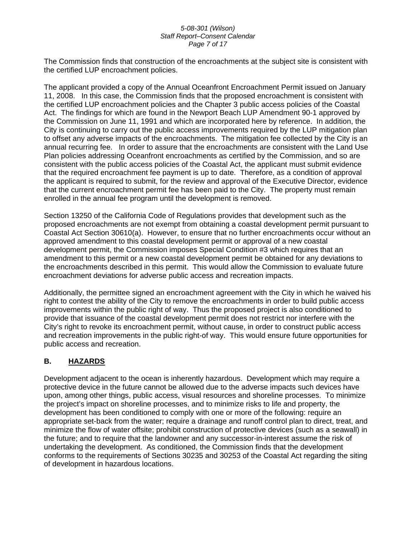#### *5-08-301 (Wilson) Staff Report–Consent Calendar Page 7 of 17*

The Commission finds that construction of the encroachments at the subject site is consistent with the certified LUP encroachment policies.

The applicant provided a copy of the Annual Oceanfront Encroachment Permit issued on January 11, 2008. In this case, the Commission finds that the proposed encroachment is consistent with the certified LUP encroachment policies and the Chapter 3 public access policies of the Coastal Act. The findings for which are found in the Newport Beach LUP Amendment 90-1 approved by the Commission on June 11, 1991 and which are incorporated here by reference. In addition, the City is continuing to carry out the public access improvements required by the LUP mitigation plan to offset any adverse impacts of the encroachments. The mitigation fee collected by the City is an annual recurring fee. In order to assure that the encroachments are consistent with the Land Use Plan policies addressing Oceanfront encroachments as certified by the Commission, and so are consistent with the public access policies of the Coastal Act, the applicant must submit evidence that the required encroachment fee payment is up to date. Therefore, as a condition of approval the applicant is required to submit, for the review and approval of the Executive Director, evidence that the current encroachment permit fee has been paid to the City. The property must remain enrolled in the annual fee program until the development is removed.

Section 13250 of the California Code of Regulations provides that development such as the proposed encroachments are not exempt from obtaining a coastal development permit pursuant to Coastal Act Section 30610(a). However, to ensure that no further encroachments occur without an approved amendment to this coastal development permit or approval of a new coastal development permit, the Commission imposes Special Condition #3 which requires that an amendment to this permit or a new coastal development permit be obtained for any deviations to the encroachments described in this permit. This would allow the Commission to evaluate future encroachment deviations for adverse public access and recreation impacts.

Additionally, the permittee signed an encroachment agreement with the City in which he waived his right to contest the ability of the City to remove the encroachments in order to build public access improvements within the public right of way. Thus the proposed project is also conditioned to provide that issuance of the coastal development permit does not restrict nor interfere with the City's right to revoke its encroachment permit, without cause, in order to construct public access and recreation improvements in the public right-of way. This would ensure future opportunities for public access and recreation.

# **B. HAZARDS**

Development adjacent to the ocean is inherently hazardous. Development which may require a protective device in the future cannot be allowed due to the adverse impacts such devices have upon, among other things, public access, visual resources and shoreline processes. To minimize the project's impact on shoreline processes, and to minimize risks to life and property, the development has been conditioned to comply with one or more of the following: require an appropriate set-back from the water; require a drainage and runoff control plan to direct, treat, and minimize the flow of water offsite; prohibit construction of protective devices (such as a seawall) in the future; and to require that the landowner and any successor-in-interest assume the risk of undertaking the development. As conditioned, the Commission finds that the development conforms to the requirements of Sections 30235 and 30253 of the Coastal Act regarding the siting of development in hazardous locations.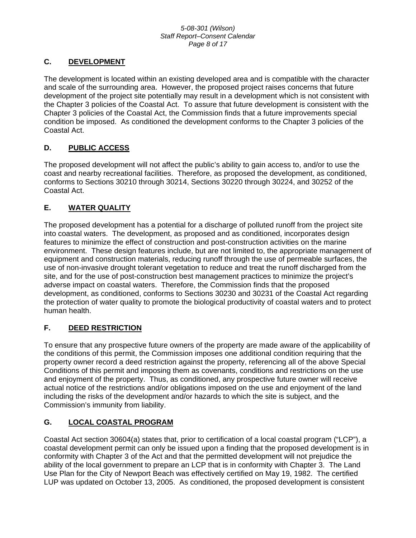#### *5-08-301 (Wilson) Staff Report–Consent Calendar Page 8 of 17*

# **C. DEVELOPMENT**

The development is located within an existing developed area and is compatible with the character and scale of the surrounding area. However, the proposed project raises concerns that future development of the project site potentially may result in a development which is not consistent with the Chapter 3 policies of the Coastal Act. To assure that future development is consistent with the Chapter 3 policies of the Coastal Act, the Commission finds that a future improvements special condition be imposed. As conditioned the development conforms to the Chapter 3 policies of the Coastal Act.

# **D. PUBLIC ACCESS**

The proposed development will not affect the public's ability to gain access to, and/or to use the coast and nearby recreational facilities. Therefore, as proposed the development, as conditioned, conforms to Sections 30210 through 30214, Sections 30220 through 30224, and 30252 of the Coastal Act.

# **E. WATER QUALITY**

The proposed development has a potential for a discharge of polluted runoff from the project site into coastal waters. The development, as proposed and as conditioned, incorporates design features to minimize the effect of construction and post-construction activities on the marine environment. These design features include, but are not limited to, the appropriate management of equipment and construction materials, reducing runoff through the use of permeable surfaces, the use of non-invasive drought tolerant vegetation to reduce and treat the runoff discharged from the site, and for the use of post-construction best management practices to minimize the project's adverse impact on coastal waters. Therefore, the Commission finds that the proposed development, as conditioned, conforms to Sections 30230 and 30231 of the Coastal Act regarding the protection of water quality to promote the biological productivity of coastal waters and to protect human health.

# **F. DEED RESTRICTION**

To ensure that any prospective future owners of the property are made aware of the applicability of the conditions of this permit, the Commission imposes one additional condition requiring that the property owner record a deed restriction against the property, referencing all of the above Special Conditions of this permit and imposing them as covenants, conditions and restrictions on the use and enjoyment of the property. Thus, as conditioned, any prospective future owner will receive actual notice of the restrictions and/or obligations imposed on the use and enjoyment of the land including the risks of the development and/or hazards to which the site is subject, and the Commission's immunity from liability.

# **G. LOCAL COASTAL PROGRAM**

Coastal Act section 30604(a) states that, prior to certification of a local coastal program ("LCP"), a coastal development permit can only be issued upon a finding that the proposed development is in conformity with Chapter 3 of the Act and that the permitted development will not prejudice the ability of the local government to prepare an LCP that is in conformity with Chapter 3. The Land Use Plan for the City of Newport Beach was effectively certified on May 19, 1982. The certified LUP was updated on October 13, 2005. As conditioned, the proposed development is consistent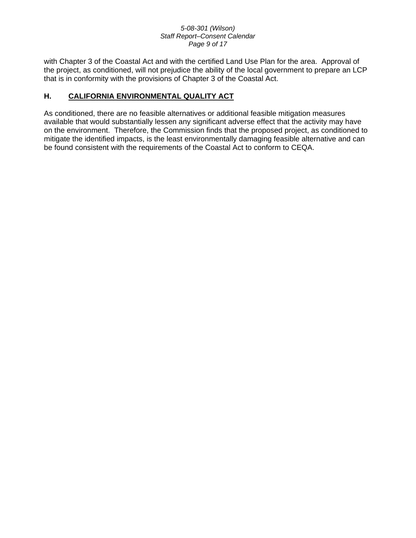#### *5-08-301 (Wilson) Staff Report–Consent Calendar Page 9 of 17*

with Chapter 3 of the Coastal Act and with the certified Land Use Plan for the area. Approval of the project, as conditioned, will not prejudice the ability of the local government to prepare an LCP that is in conformity with the provisions of Chapter 3 of the Coastal Act.

# **H. CALIFORNIA ENVIRONMENTAL QUALITY ACT**

As conditioned, there are no feasible alternatives or additional feasible mitigation measures available that would substantially lessen any significant adverse effect that the activity may have on the environment. Therefore, the Commission finds that the proposed project, as conditioned to mitigate the identified impacts, is the least environmentally damaging feasible alternative and can be found consistent with the requirements of the Coastal Act to conform to CEQA.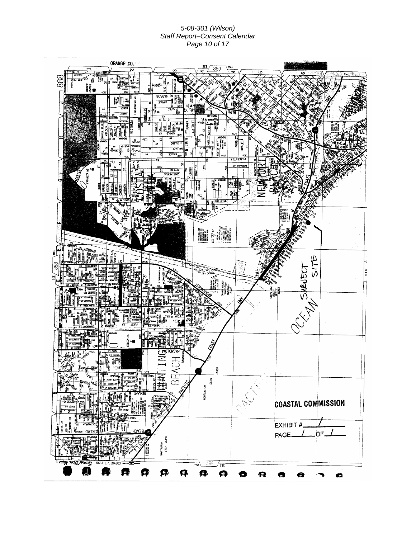*5-08-301 (Wilson) Staff Report–Consent Calendar Page 10 of 17*

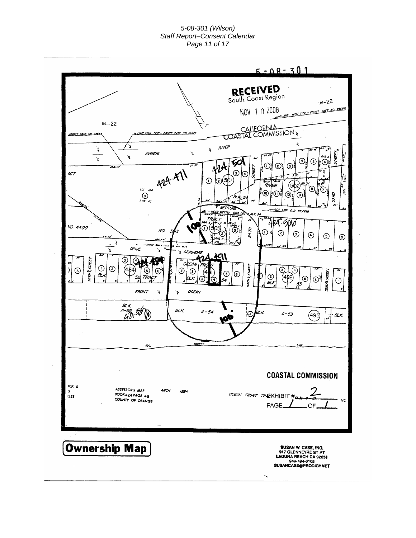#### *5-08-301 (Wilson) Staff Report–Consent Calendar Page 11 of 17*

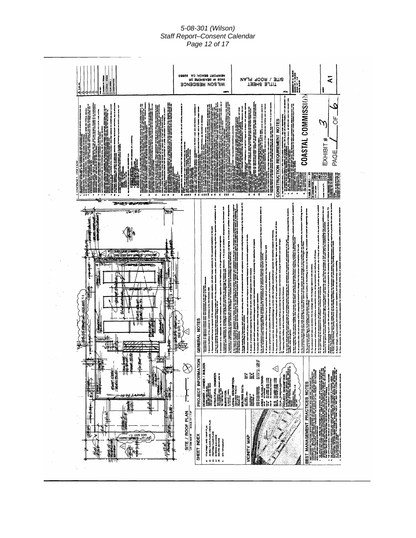#### *5-08-301 (Wilson) Staff Report–Consent Calendar Page 12 of 17*

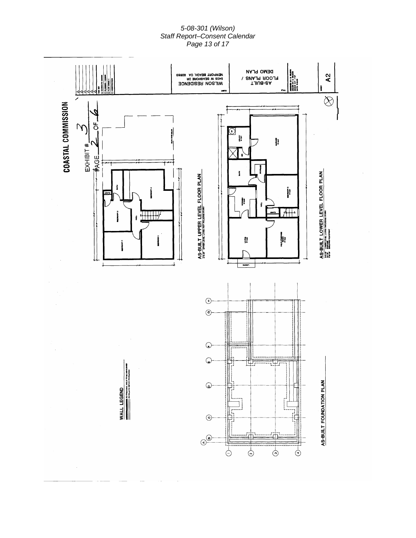#### *5-08-301 (Wilson) Staff Report–Consent Calendar Page 13 of 17*

![](_page_12_Figure_1.jpeg)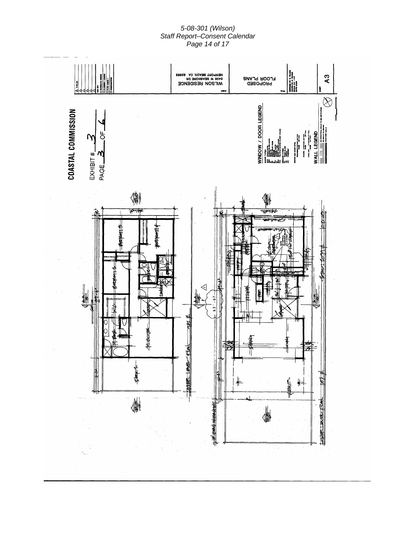#### *5-08-301 (Wilson) Staff Report–Consent Calendar Page 14 of 17*

![](_page_13_Figure_1.jpeg)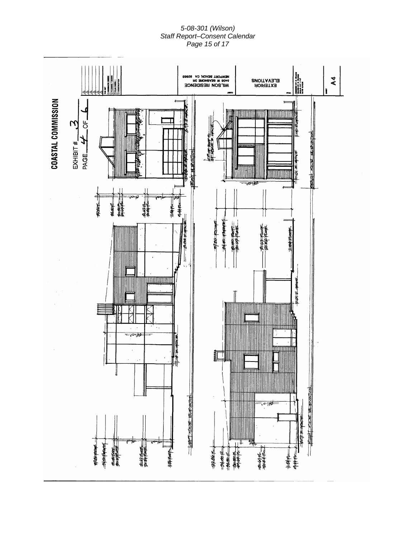#### *5-08-301 (Wilson) Staff Report–Consent Calendar Page 15 of 17*

![](_page_14_Figure_1.jpeg)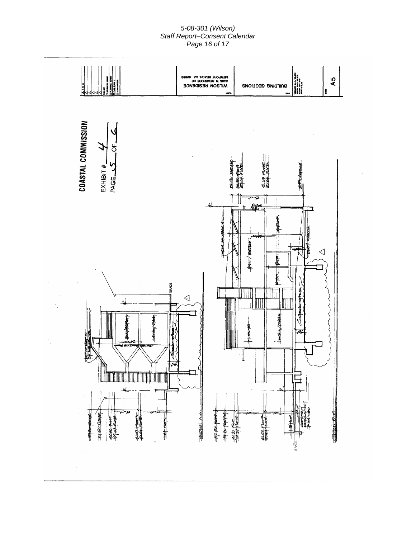#### *5-08-301 (Wilson) Staff Report–Consent Calendar Page 16 of 17*

![](_page_15_Figure_1.jpeg)